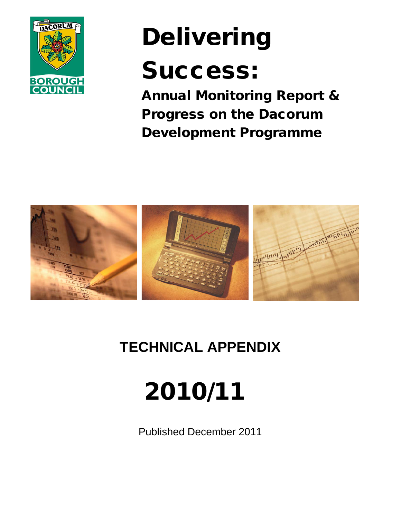

# Delivering

# Success:

Annual Monitoring Report & Progress on the Dacorum Development Programme



# **TECHNICAL APPENDIX**

# 2010/11

Published December 2011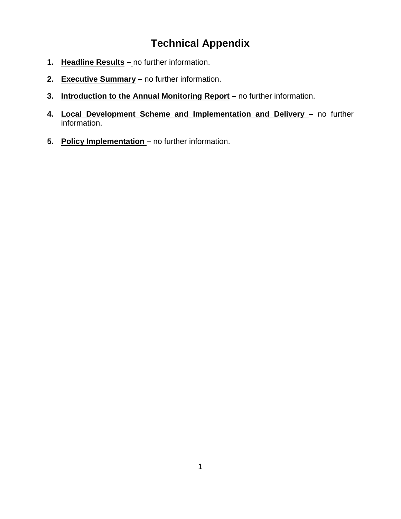# **Technical Appendix**

- **1. Headline Results –** no further information.
- **2. Executive Summary –** no further information.
- **3. Introduction to the Annual Monitoring Report –** no further information.
- **4. Local Development Scheme and Implementation and Delivery –** no further information.
- **5. Policy Implementation –** no further information.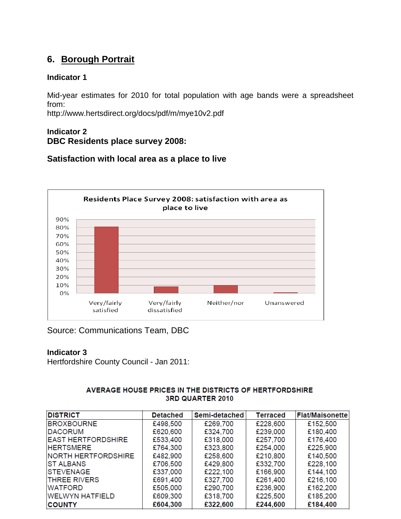# **6. Borough Portrait**

#### **Indicator 1**

Mid-year estimates for 2010 for total population with age bands were a spreadsheet from:

http://www.hertsdirect.org/docs/pdf/m/mye10v2.pdf

#### **Indicator 2 DBC Residents place survey 2008:**

#### **Satisfaction with local area as a place to live**



Source: Communications Team, DBC

#### **Indicator 3**

Hertfordshire County Council - Jan 2011:

#### AVERAGE HOUSE PRICES IN THE DISTRICTS OF HERTFORDSHIRE 3RD QUARTER 2010

| <b>DISTRICT</b>            | <b>Detached</b> | Semi-detached | <b>Terraced</b> | <b>Flat/Maisonette</b> |
|----------------------------|-----------------|---------------|-----------------|------------------------|
| <b>BROXBOURNE</b>          | £498,500        | £269,700      | £228,600        | £152,500               |
| <b>IDACORUM</b>            | £620,600        | £324,700      | £239,000        | £180,400               |
| <b>EAST HERTFORDSHIRE</b>  | £533,400        | £318,000      | £257,700        | £176,400               |
| <b>HERTSMERE</b>           | £764,300        | £323,800      | £254,000        | £225,900               |
| <b>NORTH HERTFORDSHIRE</b> | £482,900        | £258,600      | £210,800        | £140,500               |
| <b>IST ALBANS</b>          | £706,500        | £429,800      | £332,700        | £228,100               |
| <b>STEVENAGE</b>           | £337,000        | £222,100      | £166,900        | £144,100               |
| <b>THREE RIVERS</b>        | £691,400        | £327,700      | £261,400        | £216,100               |
| <b>WATFORD</b>             | £505,000        | £290,700      | £236,900        | £162,200               |
| <b>WELWYN HATFIELD</b>     | £609,300        | £318,700      | £225,500        | £185,200               |
| <b>COUNTY</b>              | £604,300        | £322,600      | £244,600        | £184,400               |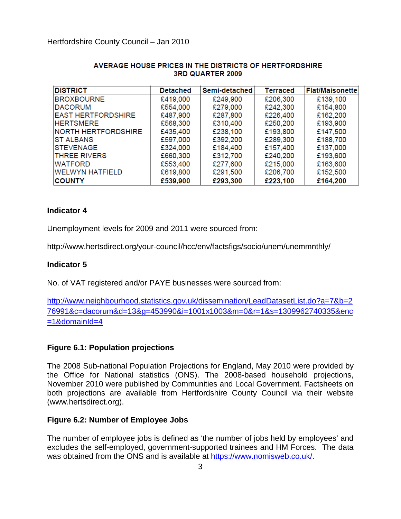| <b>DISTRICT</b>            | <b>Detached</b> | Semi-detached | <b>Terraced</b> | <b>Flat/Maisonette</b> |
|----------------------------|-----------------|---------------|-----------------|------------------------|
| <b>BROXBOURNE</b>          | £419,000        | £249,900      | £206,300        | £139,100               |
| <b>DACORUM</b>             | £554,000        | £279,000      | £242,300        | £154,800               |
| <b>EAST HERTFORDSHIRE</b>  | £487,900        | £287,800      | £226,400        | £162,200               |
| <b>HERTSMERE</b>           | £568,300        | £310,400      | £250,200        | £193,900               |
| <b>NORTH HERTFORDSHIRE</b> | £435,400        | £238,100      | £193,800        | £147,500               |
| <b>IST ALBANS</b>          | £597,000        | £392,200      | £289,300        | £188,700               |
| <b>ISTEVENAGE</b>          | £324,000        | £184,400      | £157,400        | £137,000               |
| <b>THREE RIVERS</b>        | £660,300        | £312,700      | £240,200        | £193,600               |
| <b>WATFORD</b>             | £553,400        | £277,600      | £215,000        | £163,600               |
| <b>WELWYN HATFIELD</b>     | £619,800        | £291,500      | £206,700        | £152,500               |
| <b>COUNTY</b>              | £539,900        | £293,300      | £223,100        | £164,200               |

#### AVERAGE HOUSE PRICES IN THE DISTRICTS OF HERTFORDSHIRE 3RD QUARTER 2009

#### **Indicator 4**

Unemployment levels for 2009 and 2011 were sourced from:

http://www.hertsdirect.org/your-council/hcc/env/factsfigs/socio/unem/unemmnthly/

#### **Indicator 5**

No. of VAT registered and/or PAYE businesses were sourced from:

[http://www.neighbourhood.statistics.gov.uk/dissemination/LeadDatasetList.do?a=7&b=2](http://www.neighbourhood.statistics.gov.uk/dissemination/LeadDatasetList.do?a=7&b=276991&c=dacorum&d=13&g=453990&i=1001x1003&m=0&r=1&s=1309962740335&enc=1&domainId=4) [76991&c=dacorum&d=13&g=453990&i=1001x1003&m=0&r=1&s=1309962740335&enc](http://www.neighbourhood.statistics.gov.uk/dissemination/LeadDatasetList.do?a=7&b=276991&c=dacorum&d=13&g=453990&i=1001x1003&m=0&r=1&s=1309962740335&enc=1&domainId=4)  $=1$ &domainId $=4$ 

#### **Figure 6.1: Population projections**

The 2008 Sub-national Population Projections for England, May 2010 were provided by the Office for National statistics (ONS). The 2008-based household projections, November 2010 were published by Communities and Local Government. Factsheets on both projections are available from Hertfordshire County Council via their website (www.hertsdirect.org).

#### **Figure 6.2: Number of Employee Jobs**

The number of employee jobs is defined as 'the number of jobs held by employees' and excludes the self-employed, government-supported trainees and HM Forces. The data was obtained from the ONS and is available at [https://www.nomisweb.co.uk/.](https://www.nomisweb.co.uk/)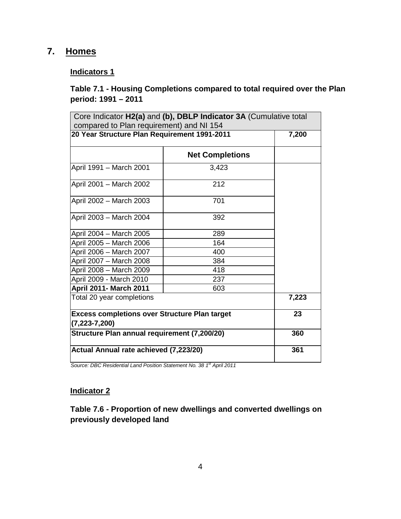# **7. Homes**

#### **Indicators 1**

#### **Table 7.1 - Housing Completions compared to total required over the Plan period: 1991 – 2011**

| compared to Plan requirement) and NI 154                                    | Core Indicator H2(a) and (b), DBLP Indicator 3A (Cumulative total |       |
|-----------------------------------------------------------------------------|-------------------------------------------------------------------|-------|
| 20 Year Structure Plan Requirement 1991-2011                                |                                                                   | 7,200 |
|                                                                             | <b>Net Completions</b>                                            |       |
| April 1991 - March 2001                                                     | 3,423                                                             |       |
| April 2001 - March 2002                                                     | 212                                                               |       |
| April 2002 - March 2003                                                     | 701                                                               |       |
| April 2003 - March 2004                                                     | 392                                                               |       |
| April 2004 - March 2005                                                     | 289                                                               |       |
| April 2005 - March 2006                                                     | 164                                                               |       |
| April 2006 - March 2007                                                     | 400                                                               |       |
| April 2007 - March 2008                                                     | 384                                                               |       |
| April 2008 - March 2009                                                     | 418                                                               |       |
| April 2009 - March 2010                                                     | 237                                                               |       |
| <b>April 2011- March 2011</b>                                               | 603                                                               |       |
| Total 20 year completions                                                   |                                                                   | 7,223 |
| <b>Excess completions over Structure Plan target</b><br>$(7, 223 - 7, 200)$ | 23                                                                |       |
| Structure Plan annual requirement (7,200/20)                                |                                                                   | 360   |
| Actual Annual rate achieved (7,223/20)                                      |                                                                   | 361   |

*Source: DBC Residential Land Position Statement No. 38 1st April 2011*

#### **Indicator 2**

**Table 7.6 - Proportion of new dwellings and converted dwellings on previously developed land**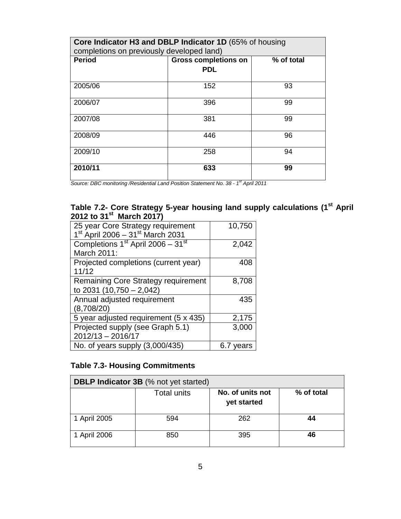| Core Indicator H3 and DBLP Indicator 1D (65% of housing<br>completions on previously developed land) |                                           |            |  |
|------------------------------------------------------------------------------------------------------|-------------------------------------------|------------|--|
| <b>Period</b>                                                                                        | <b>Gross completions on</b><br><b>PDL</b> | % of total |  |
| 2005/06                                                                                              | 152                                       | 93         |  |
| 2006/07                                                                                              | 396                                       | 99         |  |
| 2007/08                                                                                              | 381                                       | 99         |  |
| 2008/09                                                                                              | 446                                       | 96         |  |
| 2009/10                                                                                              | 258                                       | 94         |  |
| 2010/11                                                                                              | 633                                       | 99         |  |

*Source: DBC monitoring /Residential Land Position Statement No. 38 - 1st April 2011*

#### **Table 7.2- Core Strategy 5-year housing land supply calculations (1st April 2012 to 31st March 2017)**

| 25 year Core Strategy requirement<br>1st April 2006 - 31st March 2031    | 10,750 |
|--------------------------------------------------------------------------|--------|
| Completions 1 <sup>st</sup> April 2006 - 31 <sup>st</sup><br>March 2011: | 2,042  |
| Projected completions (current year)<br>11/12                            | 408    |
| Remaining Core Strategy requirement<br>to 2031 (10,750 - 2,042)          | 8,708  |
| Annual adjusted requirement<br>(8,708/20)                                | 435    |
| 5 year adjusted requirement (5 x 435)                                    | 2,175  |
| Projected supply (see Graph 5.1)<br>$2012/13 - 2016/17$                  | 3,000  |
| No. of years supply (3,000/435)                                          | ears   |

# **Table 7.3- Housing Commitments**

|              | <b>DBLP Indicator 3B</b> (% not yet started) |                  |            |  |
|--------------|----------------------------------------------|------------------|------------|--|
|              | Total units                                  | No. of units not | % of total |  |
|              |                                              | yet started      |            |  |
| 1 April 2005 | 594                                          | 262              | 44         |  |
| 1 April 2006 | 850                                          | 395              | 46         |  |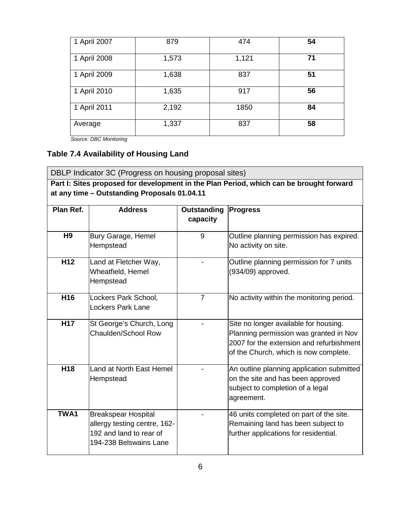| 1 April 2007 | 879   | 474   | 54 |
|--------------|-------|-------|----|
| 1 April 2008 | 1,573 | 1,121 | 71 |
| 1 April 2009 | 1,638 | 837   | 51 |
| 1 April 2010 | 1,635 | 917   | 56 |
| 1 April 2011 | 2,192 | 1850  | 84 |
| Average      | 1,337 | 837   | 58 |

*Source: DBC Monitoring*

# **Table 7.4 Availability of Housing Land**

| DBLP Indicator 3C (Progress on housing proposal sites) |                                                                                                                                         |                         |                                                                                                                                                                      |  |  |
|--------------------------------------------------------|-----------------------------------------------------------------------------------------------------------------------------------------|-------------------------|----------------------------------------------------------------------------------------------------------------------------------------------------------------------|--|--|
|                                                        | Part I: Sites proposed for development in the Plan Period, which can be brought forward<br>at any time - Outstanding Proposals 01.04.11 |                         |                                                                                                                                                                      |  |  |
|                                                        |                                                                                                                                         |                         |                                                                                                                                                                      |  |  |
| Plan Ref.                                              | <b>Address</b>                                                                                                                          | Outstanding<br>capacity | <b>Progress</b>                                                                                                                                                      |  |  |
| H <sub>9</sub>                                         | Bury Garage, Hemel<br>Hempstead                                                                                                         | 9                       | Outline planning permission has expired.<br>No activity on site.                                                                                                     |  |  |
| H <sub>12</sub>                                        | Land at Fletcher Way,<br>Wheatfield, Hemel<br>Hempstead                                                                                 |                         | Outline planning permission for 7 units<br>(934/09) approved.                                                                                                        |  |  |
| H <sub>16</sub>                                        | Lockers Park School,<br><b>Lockers Park Lane</b>                                                                                        | $\overline{7}$          | No activity within the monitoring period.                                                                                                                            |  |  |
| H17                                                    | St George's Church, Long<br>Chaulden/School Row                                                                                         |                         | Site no longer available for housing.<br>Planning permission was granted in Nov<br>2007 for the extension and refurbishment<br>of the Church, which is now complete. |  |  |
| H18                                                    | Land at North East Hemel<br>Hempstead                                                                                                   |                         | An outline planning application submitted<br>on the site and has been approved<br>subject to completion of a legal<br>agreement.                                     |  |  |
| TWA1                                                   | <b>Breakspear Hospital</b><br>allergy testing centre, 162-<br>192 and land to rear of<br>194-238 Belswains Lane                         |                         | 46 units completed on part of the site.<br>Remaining land has been subject to<br>further applications for residential.                                               |  |  |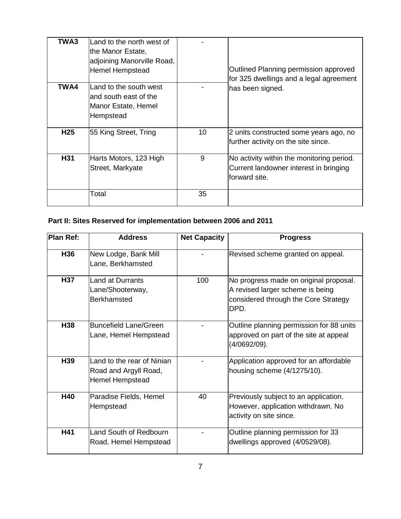| TWA3            | lLand to the north west of<br>the Manor Estate,<br>adjoining Manorville Road,<br>Hemel Hempstead |    | Outlined Planning permission approved<br>for 325 dwellings and a legal agreement                     |
|-----------------|--------------------------------------------------------------------------------------------------|----|------------------------------------------------------------------------------------------------------|
| TWA4            | lLand to the south west<br>and south east of the<br>Manor Estate, Hemel<br>Hempstead             |    | has been signed.                                                                                     |
| H <sub>25</sub> | 55 King Street, Tring                                                                            | 10 | 2 units constructed some years ago, no<br>further activity on the site since.                        |
| H31             | Harts Motors, 123 High<br>Street, Markyate                                                       | 9  | No activity within the monitoring period.<br>Current landowner interest in bringing<br>forward site. |
|                 | Total                                                                                            | 35 |                                                                                                      |

# **Part II: Sites Reserved for implementation between 2006 and 2011**

| <b>Plan Ref:</b> | <b>Address</b>                                                         | <b>Net Capacity</b> | <b>Progress</b>                                                                                                            |
|------------------|------------------------------------------------------------------------|---------------------|----------------------------------------------------------------------------------------------------------------------------|
| H36              | New Lodge, Bank Mill<br>Lane, Berkhamsted                              |                     | Revised scheme granted on appeal.                                                                                          |
| <b>H37</b>       | <b>Land at Durrants</b><br>Lane/Shooterway,<br><b>Berkhamsted</b>      | 100                 | No progress made on original proposal.<br>A revised larger scheme is being<br>considered through the Core Strategy<br>DPD. |
| H38              | <b>Buncefield Lane/Green</b><br>Lane, Hemel Hempstead                  |                     | Outline planning permission for 88 units<br>approved on part of the site at appeal<br>(4/0692/09).                         |
| H39              | Land to the rear of Ninian<br>Road and Argyll Road,<br>Hemel Hempstead |                     | Application approved for an affordable<br>housing scheme (4/1275/10).                                                      |
| <b>H40</b>       | Paradise Fields, Hemel<br>Hempstead                                    | 40                  | Previously subject to an application.<br>However, application withdrawn. No<br>activity on site since.                     |
| H41              | Land South of Redbourn<br>Road, Hemel Hempstead                        |                     | Outline planning permission for 33<br>dwellings approved (4/0529/08).                                                      |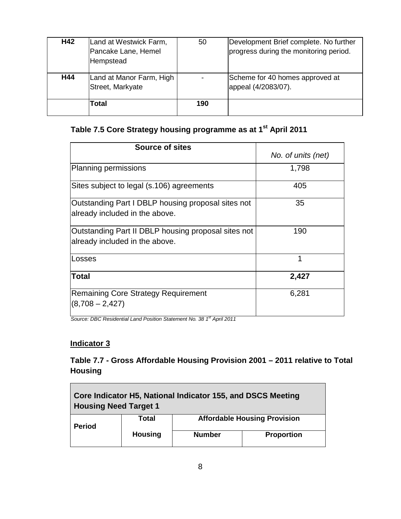| H42 | Land at Westwick Farm,<br>Pancake Lane, Hemel<br>Hempstead | 50  | Development Brief complete. No further<br>progress during the monitoring period. |
|-----|------------------------------------------------------------|-----|----------------------------------------------------------------------------------|
| H44 | Land at Manor Farm, High<br>Street, Markyate<br>Total      | 190 | Scheme for 40 homes approved at<br>appeal (4/2083/07).                           |
|     |                                                            |     |                                                                                  |

# **Table 7.5 Core Strategy housing programme as at 1st April 2011**

| <b>Source of sites</b>                                                                |                    |
|---------------------------------------------------------------------------------------|--------------------|
|                                                                                       | No. of units (net) |
| <b>Planning permissions</b>                                                           | 1,798              |
| Sites subject to legal (s.106) agreements                                             | 405                |
| Outstanding Part I DBLP housing proposal sites not<br>already included in the above.  | 35                 |
| Outstanding Part II DBLP housing proposal sites not<br>already included in the above. | 190                |
| Losses                                                                                | 1                  |
| Total                                                                                 | 2,427              |
| <b>Remaining Core Strategy Requirement</b><br>$(8,708 - 2,427)$                       | 6,281              |

*Source: DBC Residential Land Position Statement No. 38 1st April 2011*

#### **Indicator 3**

 $\blacksquare$ 

## **Table 7.7 - Gross Affordable Housing Provision 2001 – 2011 relative to Total Housing**

 $\overline{\phantom{0}}$ 

| Core Indicator H5, National Indicator 155, and DSCS Meeting<br><b>Housing Need Target 1</b> |                |               |                   |
|---------------------------------------------------------------------------------------------|----------------|---------------|-------------------|
| <b>Affordable Housing Provision</b><br>Total<br><b>Period</b>                               |                |               |                   |
|                                                                                             | <b>Housing</b> | <b>Number</b> | <b>Proportion</b> |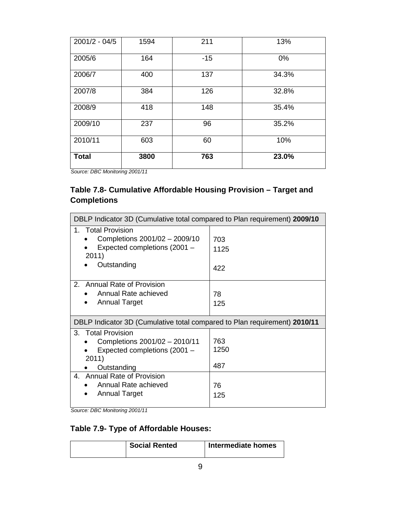| $2001/2 - 04/5$ | 1594 | 211   | 13%   |
|-----------------|------|-------|-------|
| 2005/6          | 164  | $-15$ | 0%    |
| 2006/7          | 400  | 137   | 34.3% |
| 2007/8          | 384  | 126   | 32.8% |
| 2008/9          | 418  | 148   | 35.4% |
| 2009/10         | 237  | 96    | 35.2% |
| 2010/11         | 603  | 60    | 10%   |
| <b>Total</b>    | 3800 | 763   | 23.0% |

*Source: DBC Monitoring 2001/11*

# **Table 7.8- Cumulative Affordable Housing Provision – Target and Completions**

| DBLP Indicator 3D (Cumulative total compared to Plan requirement) 2009/10                                                                                                                            |                                 |  |  |
|------------------------------------------------------------------------------------------------------------------------------------------------------------------------------------------------------|---------------------------------|--|--|
| <b>Total Provision</b><br>1.<br>Completions 2001/02 - 2009/10<br>Expected completions (2001 -<br>2011)<br>Outstanding                                                                                | 703<br>1125<br>422              |  |  |
| <b>Annual Rate of Provision</b><br>2.<br>Annual Rate achieved<br><b>Annual Target</b>                                                                                                                | 78<br>125                       |  |  |
| DBLP Indicator 3D (Cumulative total compared to Plan requirement) 2010/11                                                                                                                            |                                 |  |  |
| 3.<br><b>Total Provision</b><br>Completions 2001/02 - 2010/11<br>Expected completions (2001 -<br>2011)<br>Outstanding<br>4. Annual Rate of Provision<br>Annual Rate achieved<br><b>Annual Target</b> | 763<br>1250<br>487<br>76<br>125 |  |  |

*Source: DBC Monitoring 2001/11*

#### **Table 7.9- Type of Affordable Houses:**

| Social Rented | Intermediate homes |
|---------------|--------------------|
|               |                    |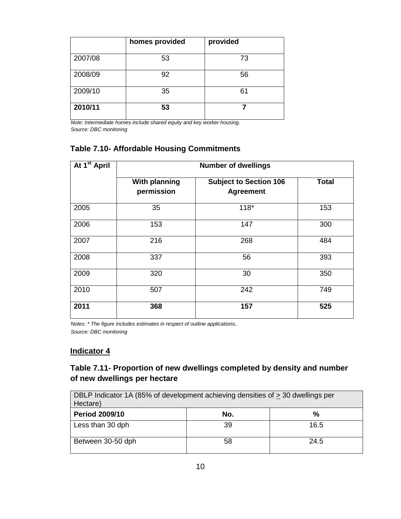|         | homes provided | provided |
|---------|----------------|----------|
| 2007/08 | 53             | 73       |
| 2008/09 | 92             | 56       |
| 2009/10 | 35             | 61       |
| 2010/11 | 53             |          |

*Note: Intermediate homes include shared equity and key worker housing. Source: DBC monitoring*

# **Table 7.10- Affordable Housing Commitments**

| At 1 <sup>st</sup> April | <b>Number of dwellings</b>         |                                                   |              |  |
|--------------------------|------------------------------------|---------------------------------------------------|--------------|--|
|                          | <b>With planning</b><br>permission | <b>Subject to Section 106</b><br><b>Agreement</b> | <b>Total</b> |  |
| 2005                     | 35                                 | $118*$                                            | 153          |  |
| 2006                     | 153                                | 147                                               | 300          |  |
| 2007                     | 216                                | 268                                               | 484          |  |
| 2008                     | 337                                | 56                                                | 393          |  |
| 2009                     | 320                                | 30                                                | 350          |  |
| 2010                     | 507                                | 242                                               | 749          |  |
| 2011                     | 368                                | 157                                               | 525          |  |

*Notes: \* The figure includes estimates in respect of outline applications. Source: DBC monitoring*

#### **Indicator 4**

#### **Table 7.11- Proportion of new dwellings completed by density and number of new dwellings per hectare**

| DBLP Indicator 1A (85% of development achieving densities of > 30 dwellings per<br>Hectare) |     |      |  |
|---------------------------------------------------------------------------------------------|-----|------|--|
| <b>Period 2009/10</b>                                                                       | No. | %    |  |
| Less than 30 dph                                                                            | 39  | 16.5 |  |
| Between 30-50 dph                                                                           | 58  | 24.5 |  |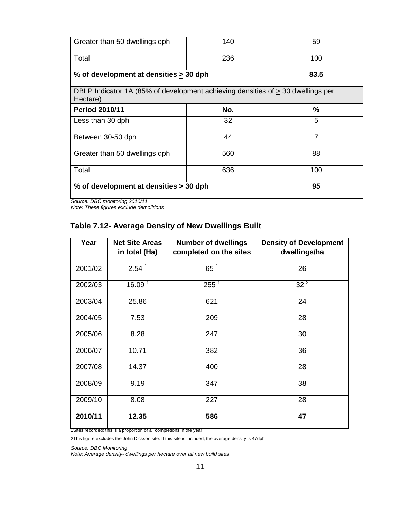| Greater than 50 dwellings dph                                                                    | 140  | 59             |
|--------------------------------------------------------------------------------------------------|------|----------------|
| Total                                                                                            | 236  | 100            |
| % of development at densities > 30 dph                                                           | 83.5 |                |
| DBLP Indicator 1A (85% of development achieving densities of $\geq$ 30 dwellings per<br>Hectare) |      |                |
| <b>Period 2010/11</b>                                                                            | No.  | $\%$           |
| Less than 30 dph                                                                                 | 32   | 5              |
| Between 30-50 dph                                                                                | 44   | $\overline{7}$ |
| Greater than 50 dwellings dph                                                                    | 560  | 88             |
| Total                                                                                            | 636  | 100            |
| % of development at densities > 30 dph                                                           |      | 95             |

*Source: DBC monitoring 2010/11*

*Note: These figures exclude demolitions* 

#### **Table 7.12- Average Density of New Dwellings Built**

| Year    | <b>Net Site Areas</b><br>in total (Ha) | <b>Number of dwellings</b><br>completed on the sites | <b>Density of Development</b><br>dwellings/ha |
|---------|----------------------------------------|------------------------------------------------------|-----------------------------------------------|
| 2001/02 | 2.54 <sup>1</sup>                      | $65^1$                                               | 26                                            |
| 2002/03 | 16.09 <sup>1</sup>                     | $255^1$                                              | $32^2$                                        |
| 2003/04 | 25.86                                  | 621                                                  | 24                                            |
| 2004/05 | 7.53                                   | 209                                                  | 28                                            |
| 2005/06 | 8.28                                   | 247                                                  | 30                                            |
| 2006/07 | 10.71                                  | 382                                                  | 36                                            |
| 2007/08 | 14.37                                  | 400                                                  | 28                                            |
| 2008/09 | 9.19                                   | 347                                                  | 38                                            |
| 2009/10 | 8.08                                   | 227                                                  | 28                                            |
| 2010/11 | 12.35                                  | 586                                                  | 47                                            |

1Sites recorded: this is a proportion of all completions in the year

2This figure excludes the John Dickson site. If this site is included, the average density is 47dph

*Source: DBC Monitoring* 

*Note: Average density- dwellings per hectare over all new build sites*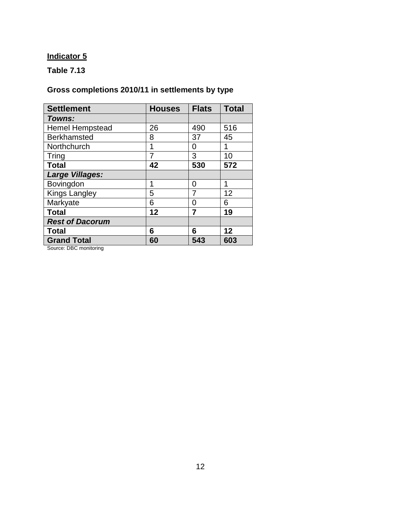# **Indicator 5**

# **Table 7.13**

# **Gross completions 2010/11 in settlements by type**

| <b>Settlement</b>      | <b>Houses</b> | <b>Flats</b> | <b>Total</b> |
|------------------------|---------------|--------------|--------------|
| Towns:                 |               |              |              |
| <b>Hemel Hempstead</b> | 26            | 490          | 516          |
| <b>Berkhamsted</b>     | 8             | 37           | 45           |
| Northchurch            | 1             | 0            | 1            |
| <b>Tring</b>           | 7             | 3            | 10           |
| <b>Total</b>           | 42            | 530          | 572          |
| <b>Large Villages:</b> |               |              |              |
| Bovingdon              | 1             | ი            | 1            |
| <b>Kings Langley</b>   | 5             | 7            | 12           |
| Markyate               | 6             | 0            | 6            |
| <b>Total</b>           | 12            | 7            | 19           |
| <b>Rest of Dacorum</b> |               |              |              |
| <b>Total</b>           | 6             | 6            | 12           |
| <b>Grand Total</b>     | 60            | 543          | 603          |

Source: DBC monitoring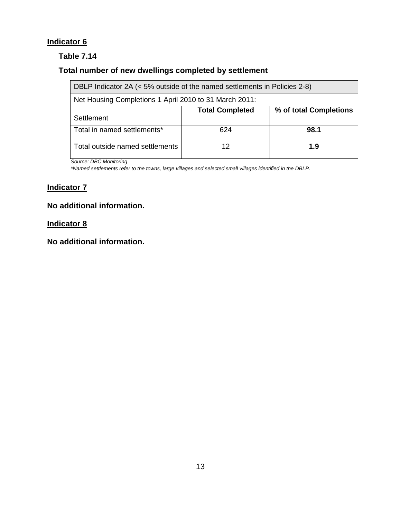# **Indicator 6**

#### **Table 7.14**

# **Total number of new dwellings completed by settlement**

| DBLP Indicator 2A (< 5% outside of the named settlements in Policies 2-8) |                        |                        |  |  |
|---------------------------------------------------------------------------|------------------------|------------------------|--|--|
| Net Housing Completions 1 April 2010 to 31 March 2011:                    |                        |                        |  |  |
|                                                                           | <b>Total Completed</b> | % of total Completions |  |  |
| Settlement                                                                |                        |                        |  |  |
| Total in named settlements*                                               | 624                    | 98.1                   |  |  |
| Total outside named settlements                                           | 12                     | 1.9                    |  |  |

*Source: DBC Monitoring*

*\*Named settlements refer to the towns, large villages and selected small villages identified in the DBLP.*

#### **Indicator 7**

#### **No additional information.**

#### **Indicator 8**

**No additional information.**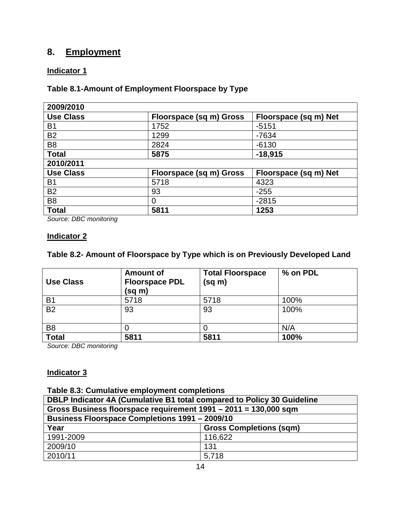# **8. Employment**

#### **Indicator 1**

#### **Table 8.1-Amount of Employment Floorspace by Type**

| 2009/2010        |                                |                       |
|------------------|--------------------------------|-----------------------|
| <b>Use Class</b> | Floorspace (sq m) Gross        | Floorspace (sq m) Net |
| B <sub>1</sub>   | 1752                           | $-5151$               |
| <b>B2</b>        | 1299                           | $-7634$               |
| B <sub>8</sub>   | 2824                           | $-6130$               |
| <b>Total</b>     | 5875                           | $-18,915$             |
| 2010/2011        |                                |                       |
| <b>Use Class</b> | <b>Floorspace (sq m) Gross</b> | Floorspace (sq m) Net |
| <b>B1</b>        | 5718                           | 4323                  |
| <b>B2</b>        | 93                             | $-255$                |
| B <sub>8</sub>   | 0                              | $-2815$               |
| <b>Total</b>     | 5811                           | 1253                  |

*Source: DBC monitoring*

#### **Indicator 2**

#### **Table 8.2- Amount of Floorspace by Type which is on Previously Developed Land**

| <b>Use Class</b> | <b>Amount of</b><br><b>Floorspace PDL</b><br>(sq m) | <b>Total Floorspace</b><br>(sq m) | % on PDL |
|------------------|-----------------------------------------------------|-----------------------------------|----------|
| B <sub>1</sub>   | 5718                                                | 5718                              | 100%     |
| <b>B2</b>        | 93                                                  | 93                                | 100%     |
| B <sub>8</sub>   |                                                     |                                   | N/A      |
| <b>Total</b>     | 5811                                                | 5811                              | 100%     |

*Source: DBC monitoring*

#### **Indicator 3**

#### **Table 8.3: Cumulative employment completions**

| DBLP Indicator 4A (Cumulative B1 total compared to Policy 30 Guideline |                                |  |  |  |
|------------------------------------------------------------------------|--------------------------------|--|--|--|
| Gross Business floorspace requirement 1991 - 2011 = 130,000 sqm        |                                |  |  |  |
| <b>Business Floorspace Completions 1991 - 2009/10</b>                  |                                |  |  |  |
| Year                                                                   | <b>Gross Completions (sqm)</b> |  |  |  |
| 1991-2009                                                              | 116,622                        |  |  |  |
| 2009/10                                                                | 131                            |  |  |  |
| 2010/11                                                                | 5,718                          |  |  |  |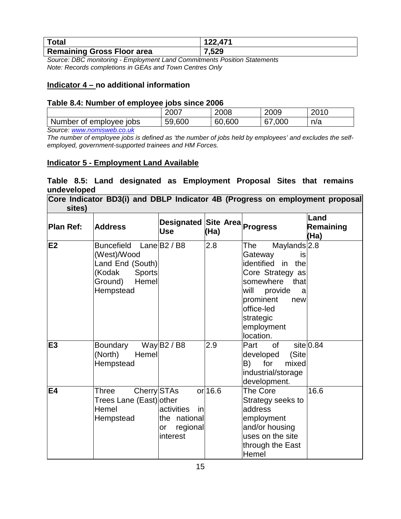| <b>Total</b>                      | 122.471 |
|-----------------------------------|---------|
| <b>Remaining Gross Floor area</b> | 7,529   |

*Source: DBC monitoring - Employment Land Commitments Position Statements Note: Records completions in GEAs and Town Centres Only*

#### **Indicator 4 – no additional information**

#### **Table 8.4: Number of employee jobs since 2006**

|                                         | 2007          | 2008      | 2009     | 0010<br>ZUIU |
|-----------------------------------------|---------------|-----------|----------|--------------|
| Number of<br>emplovee lobs<br><b>__</b> | 59,600<br>nu. | 600<br>60 | 000<br>L | n/a          |

*Source: [www.nomisweb.co.uk](http://www.nomisweb.co.uk/)*

*The number of employee jobs is defined as 'the number of jobs held by employees' and excludes the selfemployed, government-supported trainees and HM Forces.*

#### **Indicator 5 - Employment Land Available**

#### **Table 8.5: Land designated as Employment Proposal Sites that remains undeveloped**

**Core Indicator BD3(i) and DBLP Indicator 4B (Progress on employment proposal sites)**

| <b>Plan Ref:</b> | <b>Address</b>                                                                                                   | <b>Designated Site Area</b><br><b>Use</b>                      | (Ha)      | Progress                                                                                                                                                                                                        | Land<br>Remaining<br>(Ha) |
|------------------|------------------------------------------------------------------------------------------------------------------|----------------------------------------------------------------|-----------|-----------------------------------------------------------------------------------------------------------------------------------------------------------------------------------------------------------------|---------------------------|
| E2               | <b>Buncefield</b><br>(West)/Wood<br>Land End (South)<br>(Kodak<br><b>Sports</b><br>Hemel<br>Ground)<br>Hempstead | Lane $B2/B8$                                                   | 2.8       | The<br>Maylands <sup>2.8</sup><br>Gateway<br>is<br>identified in<br>the<br>Core Strategy as<br>somewhere<br>that<br>will provide<br>a<br>prominent<br>new<br>office-led<br>strategic<br>employment<br>location. |                           |
| E <sub>3</sub>   | Boundary<br>Hemel<br>(North)<br>Hempstead                                                                        | Way $B2/B8$                                                    | 2.9       | of<br>Part<br>(Site<br>developed<br>for<br>B)<br>mixed<br>industrial/storage<br>development.                                                                                                                    | $site$ 0.84               |
| <b>E4</b>        | Cherry STAs<br>Three<br>Trees Lane (East) other<br>Hemel<br>Hempstead                                            | activities<br>in<br>the national<br>regional<br>or<br>interest | $or$ 16.6 | The Core<br>Strategy seeks to<br>address<br>employment<br>and/or housing<br>uses on the site<br>through the East<br>Hemel                                                                                       | 16.6                      |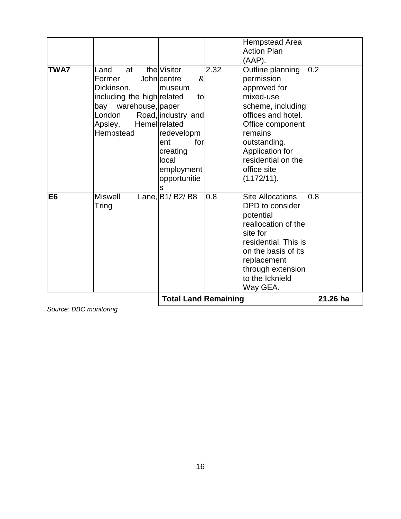| <b>TWA7</b>    | Land<br>at<br>Former<br>Dickinson,<br>including the high related<br>bay warehouse, paper<br>London | the Visitor<br>John centre<br>&<br>lmuseum<br>to<br>Road, industry and<br><b>Hemellrelated</b> | 2.32 | <b>Hempstead Area</b><br><b>Action Plan</b><br>(AAP).<br>Outline planning<br>permission<br>approved for<br>mixed-use<br>scheme, including<br>offices and hotel.                                              | 0.2      |
|----------------|----------------------------------------------------------------------------------------------------|------------------------------------------------------------------------------------------------|------|--------------------------------------------------------------------------------------------------------------------------------------------------------------------------------------------------------------|----------|
|                | Apsley,<br>Hempstead                                                                               | redevelopm<br>for<br>ent<br>creating<br>local<br>employment<br>opportunitie<br>S               |      | Office component<br>remains<br>outstanding.<br>Application for<br>residential on the<br>office site<br>(1172/11).                                                                                            |          |
| E <sub>6</sub> | <b>Miswell</b><br>Tring                                                                            | Lane, B <sub>1</sub> / B <sub>2</sub> / B <sub>8</sub>                                         | 0.8  | <b>Site Allocations</b><br>DPD to consider<br>potential<br>reallocation of the<br>site for<br>residential. This is<br>on the basis of its<br>replacement<br>through extension<br>to the Icknield<br>Way GEA. | 0.8      |
|                |                                                                                                    | <b>Total Land Remaining</b>                                                                    |      |                                                                                                                                                                                                              | 21.26 ha |

*Source: DBC monitoring*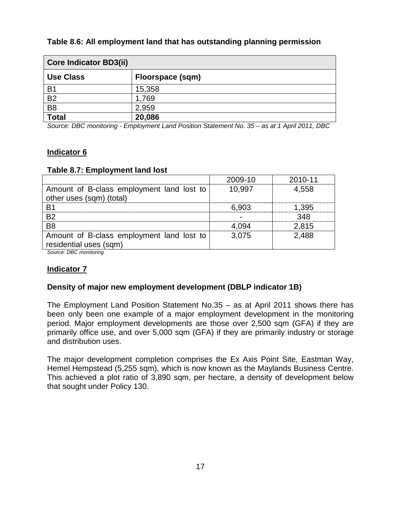| <b>Core Indicator BD3(ii)</b> |                  |  |  |
|-------------------------------|------------------|--|--|
| <b>Use Class</b>              | Floorspace (sqm) |  |  |
| B <sub>1</sub>                | 15,358           |  |  |
| <b>B2</b>                     | 1,769            |  |  |
| B <sub>8</sub>                | 2,959            |  |  |
| <b>Total</b>                  | 20,086           |  |  |

#### **Table 8.6: All employment land that has outstanding planning permission**

*Source: DBC monitoring - Employment Land Position Statement No. 35 – as at 1 April 2011, DBC*

#### **Indicator 6**

#### **Table 8.7: Employment land lost**

|                                           | 2009-10 | 2010-11 |
|-------------------------------------------|---------|---------|
| Amount of B-class employment land lost to | 10,997  | 4,558   |
| other uses (sqm) (total)                  |         |         |
| <b>B1</b>                                 | 6,903   | 1.395   |
| <b>B2</b>                                 |         | 348     |
| B <sub>8</sub>                            | 4.094   | 2,815   |
| Amount of B-class employment land lost to | 3,075   | 2,488   |
| residential uses (sqm)                    |         |         |
| Source: DRC monitoring                    |         |         |

*Source: DBC monitoring*

#### **Indicator 7**

#### **Density of major new employment development (DBLP indicator 1B)**

The Employment Land Position Statement No.35 – as at April 2011 shows there has been only been one example of a major employment development in the monitoring period. Major employment developments are those over 2,500 sqm (GFA) if they are primarily office use, and over 5,000 sqm (GFA) if they are primarily industry or storage and distribution uses.

The major development completion comprises the Ex Axis Point Site, Eastman Way, Hemel Hempstead (5,255 sqm), which is now known as the Maylands Business Centre. This achieved a plot ratio of 3,890 sqm, per hectare, a density of development below that sought under Policy 130.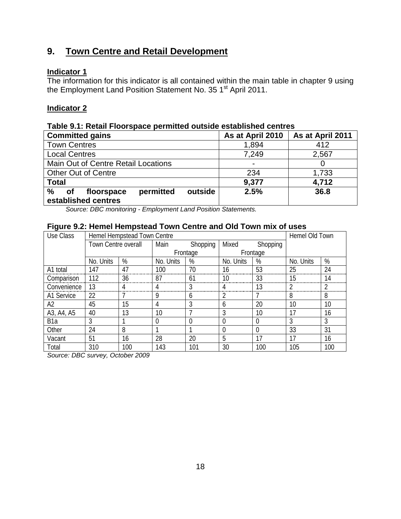# **9. Town Centre and Retail Development**

#### **Indicator 1**

The information for this indicator is all contained within the main table in chapter 9 using the Employment Land Position Statement No. 35 1<sup>st</sup> April 2011.

#### **Indicator 2**

#### **Table 9.1: Retail Floorspace permitted outside established centres**

| <b>Committed gains</b>                               | As at April 2010 | As at April 2011 |  |  |
|------------------------------------------------------|------------------|------------------|--|--|
| <b>Town Centres</b>                                  | 1,894            | 412              |  |  |
| <b>Local Centres</b>                                 | 7,249            | 2,567            |  |  |
| Main Out of Centre Retail Locations                  |                  |                  |  |  |
| <b>Other Out of Centre</b>                           | 234              | 1,733            |  |  |
| <b>Total</b>                                         | 9,377            | 4,712            |  |  |
| %<br>permitted<br>outside<br>floorspace<br><b>of</b> | 2.5%             | 36.8             |  |  |
| established centres                                  |                  |                  |  |  |

*Source: DBC monitoring - Employment Land Position Statements.*

#### **Figure 9.2: Hemel Hempstead Town Centre and Old Town mix of uses**

| ັ<br>Use Class   |                            | Hemel Hempstead Town Centre |           |                |                |          |           | Hemel Old Town |  |
|------------------|----------------------------|-----------------------------|-----------|----------------|----------------|----------|-----------|----------------|--|
|                  | <b>Town Centre overall</b> |                             | Main      | Shopping       | Mixed          | Shopping |           |                |  |
|                  |                            |                             |           | Frontage       |                | Frontage |           |                |  |
|                  | No. Units                  | %                           | No. Units | %              | No. Units      | %        | No. Units | %              |  |
| A1 total         | 147                        | 47                          | 100       | 70             | 16             | 53       | 25        | 24             |  |
| Comparison       | 112                        | 36                          | 87        | 61             | 10             | 33       | 15        | 14             |  |
| Convenience      | 13                         | 4                           | 4         | 3              | 4              | 13       | 2         | $\overline{2}$ |  |
| A1 Service       | 22                         |                             | 9         | 6              | 2              |          | 8         | 8              |  |
| A2               | 45                         | 15                          | 4         | 3              | 6              | 20       | 10        | 10             |  |
| A3, A4, A5       | 40                         | 13                          | 10        | 7              | 3              | 10       | 17        | 16             |  |
| B <sub>1</sub> a | 3                          |                             | 0         | $\overline{0}$ | $\Omega$       | 0        | 3         | 3              |  |
| Other            | 24                         | 8                           |           |                | $\overline{0}$ | $\Omega$ | 33        | 31             |  |
| Vacant           | 51                         | 16                          | 28        | 20             | 5              | 17       | 17        | 16             |  |
| Total            | 310                        | 100                         | 143       | 101            | 30             | 100      | 105       | 100            |  |

*Source: DBC survey, October 2009*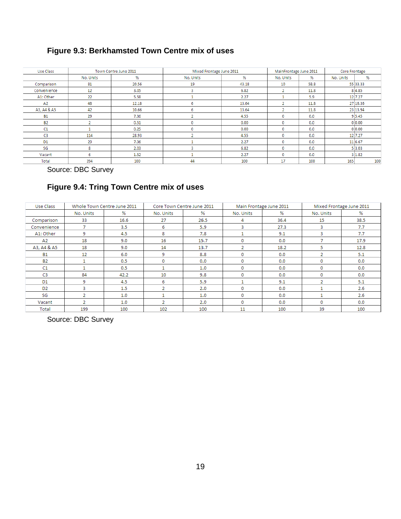# **Figure 9.3: Berkhamsted Town Centre mix of uses**

| Use Class      |           | Town Centre June 2011 | Mixed Frontage June 2011 | MainFrontage June 2011 |           | Core Frontage |           |          |
|----------------|-----------|-----------------------|--------------------------|------------------------|-----------|---------------|-----------|----------|
|                | No. Units | %                     | No. Units                | %                      | No. Units | %             | No. Units | %        |
| Comparison     | 81        | 20.56                 | 19                       | 43.18                  | 10        | 58.8          |           | 55 33.33 |
| Convenience    | 12        | 3.05                  | 3                        | 6.82                   | 2         | 11.8          |           | 84.85    |
| A1: Other      | 22        | 5.58                  |                          | 2.27                   |           | 5.9           |           | 12 7.27  |
| A2             | 48        | 12.18                 | 6                        | 13.64                  | ٠         | 11.8          |           | 27 16.36 |
| A3, A4 & A5    | 42        | 10.66                 | 6                        | 13.64                  | n         | 11.8          |           | 23 13.94 |
| <b>B1</b>      | 29        | 7.36                  |                          | 4.55                   | 0         | 0.0           |           | 9 5.45   |
| <b>B2</b>      | n         | 0.51                  | n                        | 0.00                   | 0         | 0.0           |           | 0 0.00   |
| C1             |           | 0.25                  | 0                        | 0.00                   | 0         | 0.0           |           | 0 0.00   |
| C <sub>3</sub> | 114       | 28.93                 |                          | 4.55                   | 0         | 0.0           |           | 12 7.27  |
| D <sub>1</sub> | 29        | 7.36                  |                          | 2.27                   | 0         | 0.0           |           | 11 6.67  |
| SG             | 8         | 2.03                  |                          | 6.82                   | 0         | 0.0           |           | 5 3.03   |
| Vacant         | 6         | 1.52                  |                          | 2.27                   | 0         | 0.0           |           | 3 1.82   |
| Total          | 394       | 100                   | 44                       | 100                    | 17        | 100           | 165       | 100      |

Source: DBC Survey

## **Figure 9.4: Tring Town Centre mix of uses**

| Use Class      |                | Whole Town Centre June 2011 |                | Core Town Centre June 2011 | Main Frontage June 2011 |      | Mixed Frontage June 2011 |      |
|----------------|----------------|-----------------------------|----------------|----------------------------|-------------------------|------|--------------------------|------|
|                | No. Units      | %                           | No. Units      | %                          | No. Units               | ℅    | No. Units                | %    |
| Comparison     | 33             | 16.6                        | 27             | 26.5                       | 4                       | 36.4 | 15                       | 38.5 |
| Convenience    | 7              | 3.5                         | 6              | 5.9                        | 3                       | 27.3 | 3                        | 7.7  |
| A1: Other      | 9              | 4.5                         | 8              | 7.8                        |                         | 9.1  | 3                        | 7.7  |
| A2             | 18             | 9.0                         | 16             | 15.7                       | 0                       | 0.0  | 7                        | 17.9 |
| A3, A4 & A5    | 18             | 9.0                         | 14             | 13.7                       | $\overline{2}$          | 18.2 | 5                        | 12.8 |
| <b>B1</b>      | 12             | 6.0                         | 9              | 8.8                        | 0                       | 0.0  | 2                        | 5.1  |
| <b>B2</b>      | 1              | 0.5                         | 0              | 0.0                        | 0                       | 0.0  | 0                        | 0.0  |
| C1             | $\mathbf{1}$   | 0.5                         |                | 1.0                        | 0                       | 0.0  | 0                        | 0.0  |
| C3             | 84             | 42.2                        | 10             | 9.8                        | 0                       | 0.0  | 0                        | 0.0  |
| D1             | 9              | 4.5                         | 6              | 5.9                        |                         | 9.1  | 2                        | 5.1  |
| D <sub>2</sub> | 3              | 1.5                         | $\overline{2}$ | 2.0                        | 0                       | 0.0  |                          | 2.6  |
| SG             | 2              | 1.0                         |                | 1.0                        | 0                       | 0.0  |                          | 2.6  |
| Vacant         | $\overline{2}$ | 1.0                         | $\overline{2}$ | 2.0                        | 0                       | 0.0  | 0                        | 0.0  |
| Total          | 199            | 100                         | 102            | 100                        | 11                      | 100  | 39                       | 100  |

Source: DBC Survey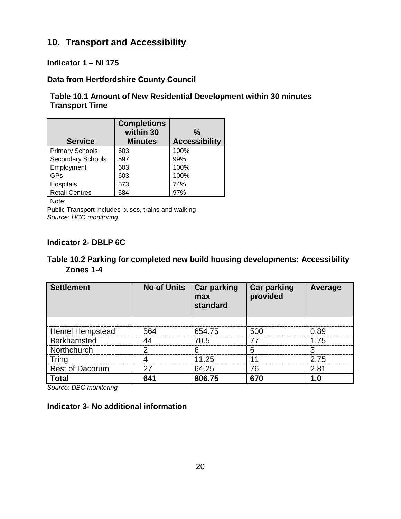# **10. Transport and Accessibility**

#### **Indicator 1 – NI 175**

#### **Data from Hertfordshire County Council**

#### **Table 10.1 Amount of New Residential Development within 30 minutes Transport Time**

| <b>Service</b>           | <b>Completions</b><br>within 30<br><b>Minutes</b> | $\%$<br><b>Accessibility</b> |
|--------------------------|---------------------------------------------------|------------------------------|
| <b>Primary Schools</b>   | 603                                               | 100%                         |
| <b>Secondary Schools</b> | 597                                               | 99%                          |
| Employment               | 603                                               | 100%                         |
| GPs                      | 603                                               | 100%                         |
| Hospitals                | 573                                               | 74%                          |
| <b>Retail Centres</b>    | 584                                               | 97%                          |

Note:

Public Transport includes buses, trains and walking *Source: HCC monitoring*

#### **Indicator 2- DBLP 6C**

#### **Table 10.2 Parking for completed new build housing developments: Accessibility Zones 1-4**

| <b>Settlement</b>      | <b>No of Units</b> | <b>Car parking</b><br>max<br>standard | <b>Car parking</b><br>provided | Average |
|------------------------|--------------------|---------------------------------------|--------------------------------|---------|
|                        |                    |                                       |                                |         |
| <b>Hemel Hempstead</b> | 564                | 654.75                                | 500                            | 0.89    |
| <b>Berkhamsted</b>     | ΔΔ                 | 70.5                                  | 77                             | 1 75    |
| Northchurch            | っ                  | 6                                     | 6                              |         |
| Tring                  |                    | 11.25                                 | 11                             | 2.75    |
| <b>Rest of Dacorum</b> | 27                 | 64.25                                 | 76                             | 2.81    |
| <b>Total</b>           | 641                | 806.75                                | 670                            | 1.0     |

*Source: DBC monitoring*

#### **Indicator 3- No additional information**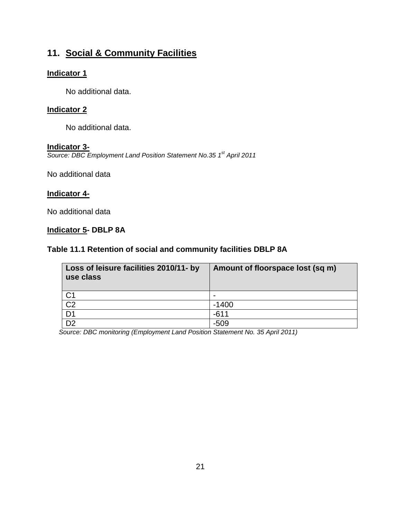# **11. Social & Community Facilities**

#### **Indicator 1**

No additional data.

#### **Indicator 2**

No additional data.

#### **Indicator 3-**

*Source: DBC Employment Land Position Statement No.35 1st April 2011* 

No additional data

#### **Indicator 4-**

No additional data

#### **Indicator 5- DBLP 8A**

#### **Table 11.1 Retention of social and community facilities DBLP 8A**

| Loss of leisure facilities 2010/11- by<br>use class | Amount of floorspace lost (sq m) |
|-----------------------------------------------------|----------------------------------|
|                                                     | $\overline{\phantom{0}}$         |
| $rac{C1}{C2}$                                       | $-1400$                          |
| D <sub>1</sub>                                      | $-611$                           |
| $\overline{22}$                                     | $-509$                           |

*Source: DBC monitoring (Employment Land Position Statement No. 35 April 2011)*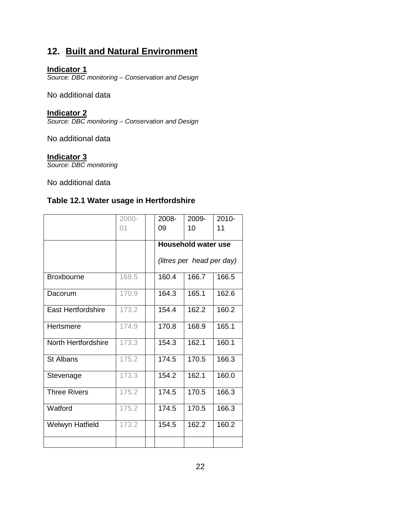# **12. Built and Natural Environment**

#### **Indicator 1**

*Source: DBC monitoring – Conservation and Design*

No additional data

#### **Indicator 2**

*Source: DBC monitoring – Conservation and Design*

No additional data

#### **Indicator 3**

*Source: DBC monitoring* 

No additional data

# **Table 12.1 Water usage in Hertfordshire**

|                     | 2000- | 2008-                      | 2009- | 2010- |  |
|---------------------|-------|----------------------------|-------|-------|--|
|                     | 01    | 09                         | 10    | 11    |  |
|                     |       | <b>Household water use</b> |       |       |  |
|                     |       | (litres per head per day)  |       |       |  |
| <b>Broxbourne</b>   | 168.5 | 160.4                      | 166.7 | 166.5 |  |
| Dacorum             | 170.9 | 164.3                      | 165.1 | 162.6 |  |
| East Hertfordshire  | 173.2 | 154.4                      | 162.2 | 160.2 |  |
| Hertsmere           | 174.9 | 170.8                      | 168.9 | 165.1 |  |
| North Hertfordshire | 173.3 | 154.3                      | 162.1 | 160.1 |  |
| <b>St Albans</b>    | 175.2 | 174.5                      | 170.5 | 166.3 |  |
| Stevenage           | 173.3 | 154.2                      | 162.1 | 160.0 |  |
| <b>Three Rivers</b> | 175.2 | 174.5                      | 170.5 | 166.3 |  |
| Watford             | 175.2 | 174.5                      | 170.5 | 166.3 |  |
| Welwyn Hatfield     | 173.2 | 154.5                      | 162.2 | 160.2 |  |
|                     |       |                            |       |       |  |